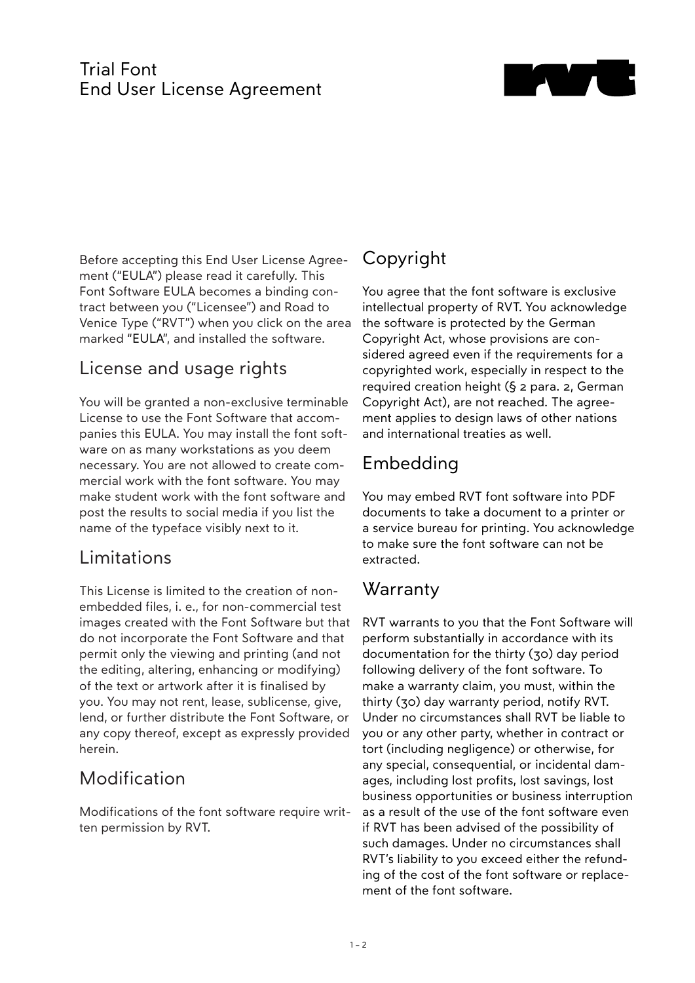#### Trial Font End User License Agreement



Before accepting this End User License Agreement ("EULA") please read it carefully. This Font Software EULA becomes a binding contract between you ("Licensee") and Road to Venice Type ("RVT") when you click on the area marked "EULA", and installed the software.

## License and usage rights

You will be granted a non-exclusive terminable License to use the Font Software that accompanies this EULA. You may install the font software on as many workstations as you deem necessary. You are not allowed to create commercial work with the font software. You may make student work with the font software and post the results to social media if you list the name of the typeface visibly next to it.

### Limitations

This License is limited to the creation of nonembedded files, i. e., for non-commercial test images created with the Font Software but that do not incorporate the Font Software and that permit only the viewing and printing (and not the editing, altering, enhancing or modifying) of the text or artwork after it is finalised by you. You may not rent, lease, sublicense, give, lend, or further distribute the Font Software, or any copy thereof, except as expressly provided herein.

# Modification

Modifications of the font software require written permission by RVT.

# Copyright

You agree that the font software is exclusive intellectual property of RVT. You acknowledge the software is protected by the German Copyright Act, whose provisions are considered agreed even if the requirements for a copyrighted work, especially in respect to the required creation height (§ 2 para. 2, German Copyright Act), are not reached. The agreement applies to design laws of other nations and international treaties as well.

# Embedding

You may embed RVT font software into PDF documents to take a document to a printer or a service bureau for printing. You acknowledge to make sure the font software can not be extracted.

### **Warranty**

RVT warrants to you that the Font Software will perform substantially in accordance with its documentation for the thirty (30) day period following delivery of the font software. To make a warranty claim, you must, within the thirty (30) day warranty period, notify RVT. Under no circumstances shall RVT be liable to you or any other party, whether in contract or tort (including negligence) or otherwise, for any special, consequential, or incidental damages, including lost profits, lost savings, lost business opportunities or business interruption as a result of the use of the font software even if RVT has been advised of the possibility of such damages. Under no circumstances shall RVT's liability to you exceed either the refunding of the cost of the font software or replacement of the font software.